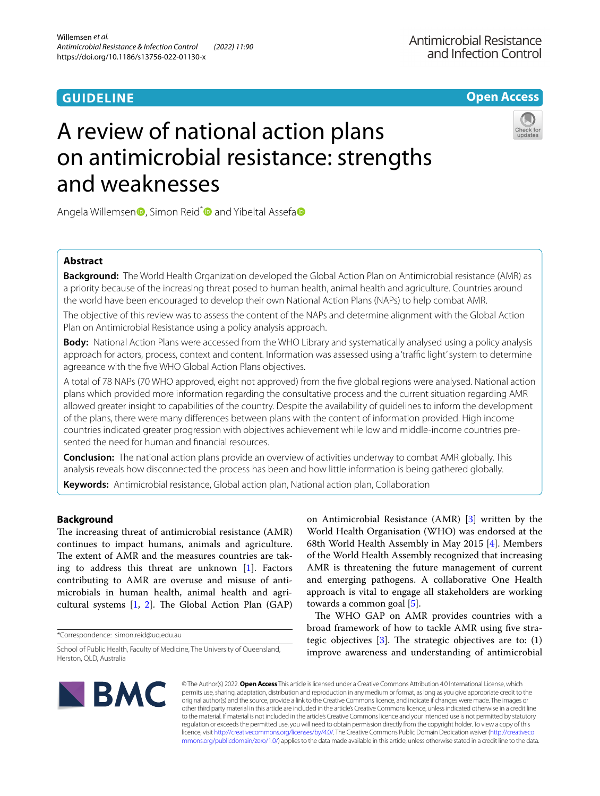# **GUIDELINE**

**Open Access**

# A review of national action plans on antimicrobial resistance: strengths and weaknesses



Angela Willemsen<sup>o</sup>[,](http://orcid.org/0000-0003-2198-9500) Simon Reid<sup>\*</sup> and Yibeltal Assefa<sup>o</sup>

# **Abstract**

**Background:** The World Health Organization developed the Global Action Plan on Antimicrobial resistance (AMR) as a priority because of the increasing threat posed to human health, animal health and agriculture. Countries around the world have been encouraged to develop their own National Action Plans (NAPs) to help combat AMR.

The objective of this review was to assess the content of the NAPs and determine alignment with the Global Action Plan on Antimicrobial Resistance using a policy analysis approach.

**Body:** National Action Plans were accessed from the WHO Library and systematically analysed using a policy analysis approach for actors, process, context and content. Information was assessed using a 'traffic light' system to determine agreeance with the fve WHO Global Action Plans objectives.

A total of 78 NAPs (70 WHO approved, eight not approved) from the fve global regions were analysed. National action plans which provided more information regarding the consultative process and the current situation regarding AMR allowed greater insight to capabilities of the country. Despite the availability of guidelines to inform the development of the plans, there were many diferences between plans with the content of information provided. High income countries indicated greater progression with objectives achievement while low and middle-income countries presented the need for human and fnancial resources.

**Conclusion:** The national action plans provide an overview of activities underway to combat AMR globally. This analysis reveals how disconnected the process has been and how little information is being gathered globally.

**Keywords:** Antimicrobial resistance, Global action plan, National action plan, Collaboration

# **Background**

The increasing threat of antimicrobial resistance (AMR) continues to impact humans, animals and agriculture. The extent of AMR and the measures countries are taking to address this threat are unknown  $[1]$  $[1]$ . Factors contributing to AMR are overuse and misuse of antimicrobials in human health, animal health and agricultural systems  $[1, 2]$  $[1, 2]$  $[1, 2]$ . The Global Action Plan  $(GAP)$ 

\*Correspondence: simon.reid@uq.edu.au

on Antimicrobial Resistance (AMR) [[3\]](#page-12-2) written by the World Health Organisation (WHO) was endorsed at the 68th World Health Assembly in May 2015 [\[4](#page-12-3)]. Members of the World Health Assembly recognized that increasing AMR is threatening the future management of current and emerging pathogens. A collaborative One Health approach is vital to engage all stakeholders are working towards a common goal [[5\]](#page-12-4).

The WHO GAP on AMR provides countries with a broad framework of how to tackle AMR using fve strategic objectives  $[3]$  $[3]$ . The strategic objectives are to:  $(1)$ improve awareness and understanding of antimicrobial



© The Author(s) 2022. **Open Access** This article is licensed under a Creative Commons Attribution 4.0 International License, which permits use, sharing, adaptation, distribution and reproduction in any medium or format, as long as you give appropriate credit to the original author(s) and the source, provide a link to the Creative Commons licence, and indicate if changes were made. The images or other third party material in this article are included in the article's Creative Commons licence, unless indicated otherwise in a credit line to the material. If material is not included in the article's Creative Commons licence and your intended use is not permitted by statutory regulation or exceeds the permitted use, you will need to obtain permission directly from the copyright holder. To view a copy of this licence, visit [http://creativecommons.org/licenses/by/4.0/.](http://creativecommons.org/licenses/by/4.0/) The Creative Commons Public Domain Dedication waiver ([http://creativeco](http://creativecommons.org/publicdomain/zero/1.0/) [mmons.org/publicdomain/zero/1.0/](http://creativecommons.org/publicdomain/zero/1.0/)) applies to the data made available in this article, unless otherwise stated in a credit line to the data.

School of Public Health, Faculty of Medicine, The University of Queensland, Herston, QLD, Australia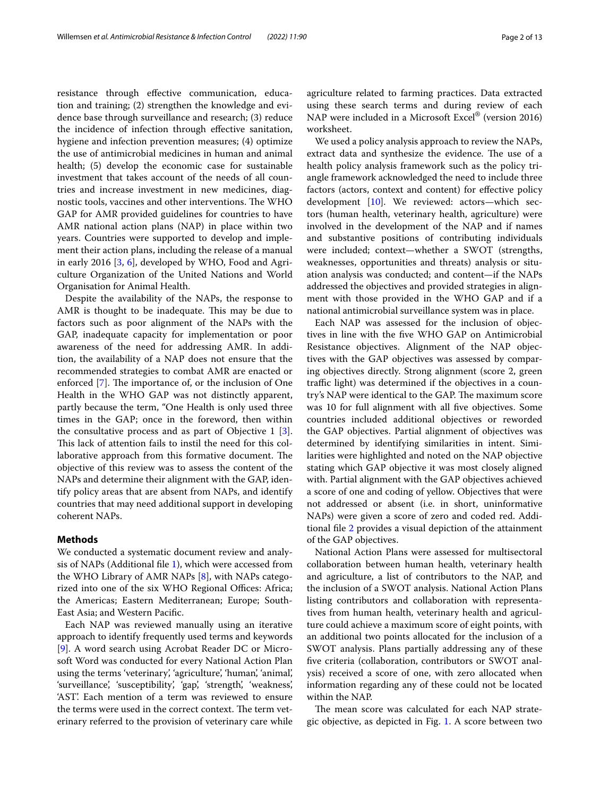resistance through efective communication, education and training; (2) strengthen the knowledge and evidence base through surveillance and research; (3) reduce the incidence of infection through efective sanitation, hygiene and infection prevention measures; (4) optimize the use of antimicrobial medicines in human and animal health; (5) develop the economic case for sustainable investment that takes account of the needs of all countries and increase investment in new medicines, diagnostic tools, vaccines and other interventions. The WHO GAP for AMR provided guidelines for countries to have AMR national action plans (NAP) in place within two years. Countries were supported to develop and implement their action plans, including the release of a manual in early 2016 [\[3](#page-12-2), [6](#page-12-5)], developed by WHO, Food and Agriculture Organization of the United Nations and World Organisation for Animal Health.

Despite the availability of the NAPs, the response to AMR is thought to be inadequate. This may be due to factors such as poor alignment of the NAPs with the GAP, inadequate capacity for implementation or poor awareness of the need for addressing AMR. In addition, the availability of a NAP does not ensure that the recommended strategies to combat AMR are enacted or enforced [[7\]](#page-12-6). The importance of, or the inclusion of One Health in the WHO GAP was not distinctly apparent, partly because the term, "One Health is only used three times in the GAP; once in the foreword, then within the consultative process and as part of Objective 1 [\[3](#page-12-2)]. This lack of attention fails to instil the need for this collaborative approach from this formative document. The objective of this review was to assess the content of the NAPs and determine their alignment with the GAP, identify policy areas that are absent from NAPs, and identify countries that may need additional support in developing coherent NAPs.

## **Methods**

We conducted a systematic document review and analysis of NAPs (Additional fl[e 1](#page-11-0)), which were accessed from the WHO Library of AMR NAPs [[8\]](#page-12-7), with NAPs categorized into one of the six WHO Regional Offices: Africa; the Americas; Eastern Mediterranean; Europe; South-East Asia; and Western Pacifc.

Each NAP was reviewed manually using an iterative approach to identify frequently used terms and keywords [[9\]](#page-12-8). A word search using Acrobat Reader DC or Microsoft Word was conducted for every National Action Plan using the terms 'veterinary', 'agriculture', 'human', 'animal', 'surveillance', 'susceptibility', 'gap', 'strength', 'weakness', 'AST'. Each mention of a term was reviewed to ensure the terms were used in the correct context. The term veterinary referred to the provision of veterinary care while agriculture related to farming practices. Data extracted using these search terms and during review of each NAP were included in a Microsoft Excel® (version 2016) worksheet.

We used a policy analysis approach to review the NAPs, extract data and synthesize the evidence. The use of a health policy analysis framework such as the policy triangle framework acknowledged the need to include three factors (actors, context and content) for efective policy development [[10\]](#page-12-9). We reviewed: actors—which sectors (human health, veterinary health, agriculture) were involved in the development of the NAP and if names and substantive positions of contributing individuals were included; context—whether a SWOT (strengths, weaknesses, opportunities and threats) analysis or situation analysis was conducted; and content—if the NAPs addressed the objectives and provided strategies in alignment with those provided in the WHO GAP and if a national antimicrobial surveillance system was in place.

Each NAP was assessed for the inclusion of objectives in line with the fve WHO GAP on Antimicrobial Resistance objectives. Alignment of the NAP objectives with the GAP objectives was assessed by comparing objectives directly. Strong alignment (score 2, green traffic light) was determined if the objectives in a country's NAP were identical to the GAP. The maximum score was 10 for full alignment with all fve objectives. Some countries included additional objectives or reworded the GAP objectives. Partial alignment of objectives was determined by identifying similarities in intent. Similarities were highlighted and noted on the NAP objective stating which GAP objective it was most closely aligned with. Partial alignment with the GAP objectives achieved a score of one and coding of yellow. Objectives that were not addressed or absent (i.e. in short, uninformative NAPs) were given a score of zero and coded red. Additional fle [2](#page-11-1) provides a visual depiction of the attainment of the GAP objectives.

National Action Plans were assessed for multisectoral collaboration between human health, veterinary health and agriculture, a list of contributors to the NAP, and the inclusion of a SWOT analysis. National Action Plans listing contributors and collaboration with representatives from human health, veterinary health and agriculture could achieve a maximum score of eight points, with an additional two points allocated for the inclusion of a SWOT analysis. Plans partially addressing any of these fve criteria (collaboration, contributors or SWOT analysis) received a score of one, with zero allocated when information regarding any of these could not be located within the NAP.

The mean score was calculated for each NAP strategic objective, as depicted in Fig. [1.](#page-2-0) A score between two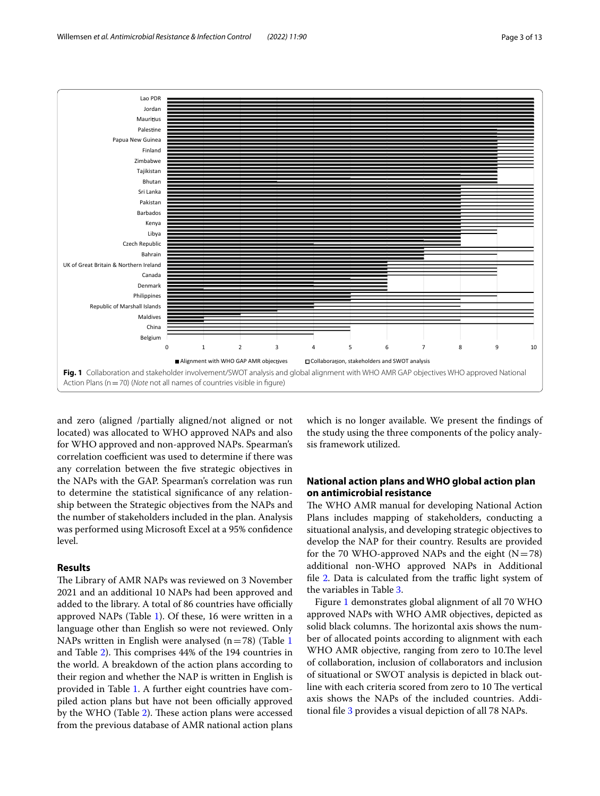

<span id="page-2-0"></span>and zero (aligned /partially aligned/not aligned or not located) was allocated to WHO approved NAPs and also for WHO approved and non-approved NAPs. Spearman's correlation coefficient was used to determine if there was any correlation between the fve strategic objectives in the NAPs with the GAP. Spearman's correlation was run to determine the statistical signifcance of any relationship between the Strategic objectives from the NAPs and the number of stakeholders included in the plan. Analysis was performed using Microsoft Excel at a 95% confdence level.

## **Results**

The Library of AMR NAPs was reviewed on 3 November 2021 and an additional 10 NAPs had been approved and added to the library. A total of 86 countries have officially approved NAPs (Table [1](#page-3-0)). Of these, 16 were written in a language other than English so were not reviewed. Only NAPs written in English were analysed ( $n=78$ ) (Table [1](#page-3-0) and Table [2\)](#page-4-0). This comprises 44% of the 194 countries in the world. A breakdown of the action plans according to their region and whether the NAP is written in English is provided in Table [1.](#page-3-0) A further eight countries have compiled action plans but have not been officially approved by the WHO (Table [2](#page-4-0)). These action plans were accessed from the previous database of AMR national action plans which is no longer available. We present the fndings of the study using the three components of the policy analysis framework utilized.

# **National action plans and WHO global action plan on antimicrobial resistance**

The WHO AMR manual for developing National Action Plans includes mapping of stakeholders, conducting a situational analysis, and developing strategic objectives to develop the NAP for their country. Results are provided for the 70 WHO-approved NAPs and the eight  $(N=78)$ additional non-WHO approved NAPs in Additional file  $2$ . Data is calculated from the traffic light system of the variables in Table [3](#page-4-1).

Figure [1](#page-2-0) demonstrates global alignment of all 70 WHO approved NAPs with WHO AMR objectives, depicted as solid black columns. The horizontal axis shows the number of allocated points according to alignment with each WHO AMR objective, ranging from zero to 10. The level of collaboration, inclusion of collaborators and inclusion of situational or SWOT analysis is depicted in black outline with each criteria scored from zero to 10 The vertical axis shows the NAPs of the included countries. Additional fle [3](#page-11-2) provides a visual depiction of all 78 NAPs.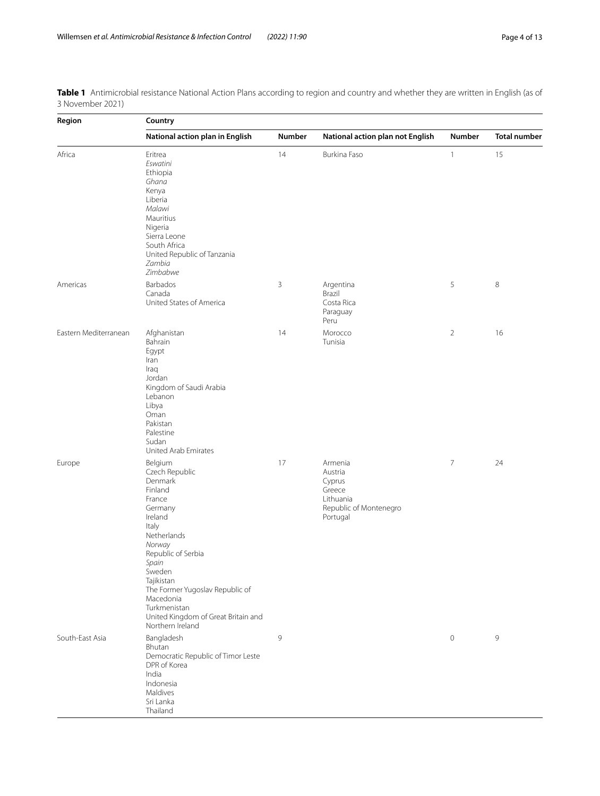<span id="page-3-0"></span>

|                  | Table 1 Antimicrobial resistance National Action Plans according to region and country and whether they are written in English (as of |  |  |  |  |
|------------------|---------------------------------------------------------------------------------------------------------------------------------------|--|--|--|--|
| 3 November 2021) |                                                                                                                                       |  |  |  |  |

| Region                | Country                                                                                                                                                                                                                                                                                             |               |                                                                                           |                |                     |  |  |
|-----------------------|-----------------------------------------------------------------------------------------------------------------------------------------------------------------------------------------------------------------------------------------------------------------------------------------------------|---------------|-------------------------------------------------------------------------------------------|----------------|---------------------|--|--|
|                       | National action plan in English                                                                                                                                                                                                                                                                     | <b>Number</b> | National action plan not English                                                          | <b>Number</b>  | <b>Total number</b> |  |  |
| Africa                | Eritrea<br>Eswatini<br>Ethiopia<br>Ghana<br>Kenya<br>Liberia<br>Malawi<br>Mauritius<br>Nigeria<br>Sierra Leone<br>South Africa<br>United Republic of Tanzania<br>Zambia<br>Zimbabwe                                                                                                                 | 14            | Burkina Faso                                                                              | $\mathbf{1}$   | 15                  |  |  |
| Americas              | Barbados<br>Canada<br>United States of America                                                                                                                                                                                                                                                      | $\mathsf 3$   | Argentina<br>Brazil<br>Costa Rica<br>Paraguay<br>Peru                                     | 5              | $\,8\,$             |  |  |
| Eastern Mediterranean | Afghanistan<br>Bahrain<br>Egypt<br>Iran<br>Iraq<br>Jordan<br>Kingdom of Saudi Arabia<br>Lebanon<br>Libya<br>Oman<br>Pakistan<br>Palestine<br>Sudan<br>United Arab Emirates                                                                                                                          | 14            | Morocco<br>Tunisia                                                                        | $\overline{2}$ | 16                  |  |  |
| Europe                | Belgium<br>Czech Republic<br>Denmark<br>Finland<br>France<br>Germany<br>Ireland<br>Italy<br>Netherlands<br>Norway<br>Republic of Serbia<br>Spain<br>Sweden<br>Tajikistan<br>The Former Yugoslav Republic of<br>Macedonia<br>Turkmenistan<br>United Kingdom of Great Britain and<br>Northern Ireland | 17            | Armenia<br>Austria<br>Cyprus<br>Greece<br>Lithuania<br>Republic of Montenegro<br>Portugal | 7              | 24                  |  |  |
| South-East Asia       | Bangladesh<br>Bhutan<br>Democratic Republic of Timor Leste<br>DPR of Korea<br>India<br>Indonesia<br>Maldives<br>Sri Lanka<br>Thailand                                                                                                                                                               | 9             |                                                                                           | $\circ$        | 9                   |  |  |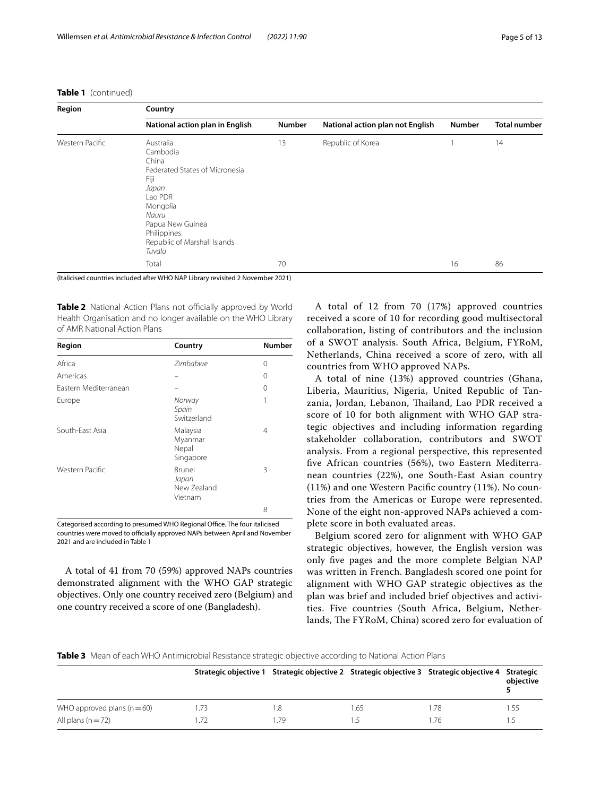# **Table 1** (continued)

| Region          | Country                                                                                                                                                                                        |               |                                  |               |                     |  |  |
|-----------------|------------------------------------------------------------------------------------------------------------------------------------------------------------------------------------------------|---------------|----------------------------------|---------------|---------------------|--|--|
|                 | National action plan in English                                                                                                                                                                | <b>Number</b> | National action plan not English | <b>Number</b> | <b>Total number</b> |  |  |
| Western Pacific | Australia<br>Cambodia<br>China<br>Federated States of Micronesia<br>Fiji<br>Japan<br>Lao PDR<br>Mongolia<br>Nauru<br>Papua New Guinea<br>Philippines<br>Republic of Marshall Islands<br>Tuvalu | 13            | Republic of Korea                |               | 14                  |  |  |
|                 | Total                                                                                                                                                                                          | 70            |                                  | 16            | 86                  |  |  |

(Italicised countries included after WHO NAP Library revisited 2 November 2021)

<span id="page-4-0"></span>Table 2 National Action Plans not officially approved by World Health Organisation and no longer available on the WHO Library of AMR National Action Plans

| Region                | Country                                   | Number |
|-----------------------|-------------------------------------------|--------|
| Africa                | Zimbabwe                                  | 0      |
| Americas              |                                           | 0      |
| Fastern Mediterranean |                                           | 0      |
| Europe                | Norway<br>Spain<br>Switzerland            | 1      |
| South-Fast Asia       | Malaysia<br>Myanmar<br>Nepal<br>Singapore | 4      |
| Western Pacific       | Brunei<br>Japan<br>New Zealand<br>Vietnam | 3      |
|                       |                                           | 8      |

Categorised according to presumed WHO Regional Office. The four italicised countries were moved to officially approved NAPs between April and November 2021 and are included in Table [1](#page-3-0)

A total of 41 from 70 (59%) approved NAPs countries demonstrated alignment with the WHO GAP strategic objectives. Only one country received zero (Belgium) and one country received a score of one (Bangladesh).

A total of 12 from 70 (17%) approved countries received a score of 10 for recording good multisectoral collaboration, listing of contributors and the inclusion of a SWOT analysis. South Africa, Belgium, FYRoM, Netherlands, China received a score of zero, with all countries from WHO approved NAPs.

A total of nine (13%) approved countries (Ghana, Liberia, Mauritius, Nigeria, United Republic of Tanzania, Jordan, Lebanon, Thailand, Lao PDR received a score of 10 for both alignment with WHO GAP strategic objectives and including information regarding stakeholder collaboration, contributors and SWOT analysis. From a regional perspective, this represented fve African countries (56%), two Eastern Mediterranean countries (22%), one South-East Asian country (11%) and one Western Pacifc country (11%). No countries from the Americas or Europe were represented. None of the eight non-approved NAPs achieved a complete score in both evaluated areas.

Belgium scored zero for alignment with WHO GAP strategic objectives, however, the English version was only fve pages and the more complete Belgian NAP was written in French. Bangladesh scored one point for alignment with WHO GAP strategic objectives as the plan was brief and included brief objectives and activities. Five countries (South Africa, Belgium, Netherlands, The FYRoM, China) scored zero for evaluation of

<span id="page-4-1"></span>**Table 3** Mean of each WHO Antimicrobial Resistance strategic objective according to National Action Plans

|                             |      |     |                | Strategic objective 1 Strategic objective 2 Strategic objective 3 Strategic objective 4 Strategic | objective |
|-----------------------------|------|-----|----------------|---------------------------------------------------------------------------------------------------|-----------|
| WHO approved plans $(n=60)$ | 1.73 | . 8 | - 65           | . 78                                                                                              | 55،       |
| All plans $(n=72)$          | 1.72 | .79 | $\overline{5}$ | .76                                                                                               | -5        |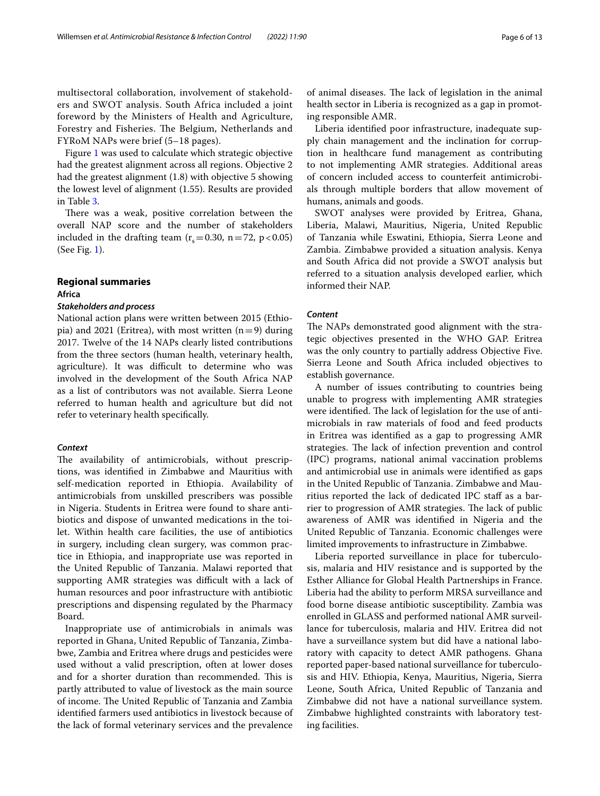multisectoral collaboration, involvement of stakeholders and SWOT analysis. South Africa included a joint foreword by the Ministers of Health and Agriculture, Forestry and Fisheries. The Belgium, Netherlands and FYRoM NAPs were brief (5–18 pages).

Figure [1](#page-2-0) was used to calculate which strategic objective had the greatest alignment across all regions. Objective 2 had the greatest alignment (1.8) with objective 5 showing the lowest level of alignment (1.55). Results are provided in Table [3](#page-4-1).

There was a weak, positive correlation between the overall NAP score and the number of stakeholders included in the drafting team  $(r_s=0.30, n=72, p<0.05)$ (See Fig. [1](#page-2-0)).

# **Regional summaries**

# **Africa**

# *Stakeholders and process*

National action plans were written between 2015 (Ethiopia) and 2021 (Eritrea), with most written  $(n=9)$  during 2017. Twelve of the 14 NAPs clearly listed contributions from the three sectors (human health, veterinary health, agriculture). It was difficult to determine who was involved in the development of the South Africa NAP as a list of contributors was not available. Sierra Leone referred to human health and agriculture but did not refer to veterinary health specifcally.

## *Context*

The availability of antimicrobials, without prescriptions, was identifed in Zimbabwe and Mauritius with self-medication reported in Ethiopia. Availability of antimicrobials from unskilled prescribers was possible in Nigeria. Students in Eritrea were found to share antibiotics and dispose of unwanted medications in the toilet. Within health care facilities, the use of antibiotics in surgery, including clean surgery, was common practice in Ethiopia, and inappropriate use was reported in the United Republic of Tanzania. Malawi reported that supporting AMR strategies was difficult with a lack of human resources and poor infrastructure with antibiotic prescriptions and dispensing regulated by the Pharmacy Board.

Inappropriate use of antimicrobials in animals was reported in Ghana, United Republic of Tanzania, Zimbabwe, Zambia and Eritrea where drugs and pesticides were used without a valid prescription, often at lower doses and for a shorter duration than recommended. This is partly attributed to value of livestock as the main source of income. The United Republic of Tanzania and Zambia identifed farmers used antibiotics in livestock because of the lack of formal veterinary services and the prevalence of animal diseases. The lack of legislation in the animal health sector in Liberia is recognized as a gap in promoting responsible AMR.

Liberia identifed poor infrastructure, inadequate supply chain management and the inclination for corruption in healthcare fund management as contributing to not implementing AMR strategies. Additional areas of concern included access to counterfeit antimicrobials through multiple borders that allow movement of humans, animals and goods.

SWOT analyses were provided by Eritrea, Ghana, Liberia, Malawi, Mauritius, Nigeria, United Republic of Tanzania while Eswatini, Ethiopia, Sierra Leone and Zambia. Zimbabwe provided a situation analysis. Kenya and South Africa did not provide a SWOT analysis but referred to a situation analysis developed earlier, which informed their NAP.

# *Content*

The NAPs demonstrated good alignment with the strategic objectives presented in the WHO GAP. Eritrea was the only country to partially address Objective Five. Sierra Leone and South Africa included objectives to establish governance.

A number of issues contributing to countries being unable to progress with implementing AMR strategies were identified. The lack of legislation for the use of antimicrobials in raw materials of food and feed products in Eritrea was identifed as a gap to progressing AMR strategies. The lack of infection prevention and control (IPC) programs, national animal vaccination problems and antimicrobial use in animals were identifed as gaps in the United Republic of Tanzania. Zimbabwe and Mauritius reported the lack of dedicated IPC staff as a barrier to progression of AMR strategies. The lack of public awareness of AMR was identifed in Nigeria and the United Republic of Tanzania. Economic challenges were limited improvements to infrastructure in Zimbabwe.

Liberia reported surveillance in place for tuberculosis, malaria and HIV resistance and is supported by the Esther Alliance for Global Health Partnerships in France. Liberia had the ability to perform MRSA surveillance and food borne disease antibiotic susceptibility. Zambia was enrolled in GLASS and performed national AMR surveillance for tuberculosis, malaria and HIV. Eritrea did not have a surveillance system but did have a national laboratory with capacity to detect AMR pathogens. Ghana reported paper-based national surveillance for tuberculosis and HIV. Ethiopia, Kenya, Mauritius, Nigeria, Sierra Leone, South Africa, United Republic of Tanzania and Zimbabwe did not have a national surveillance system. Zimbabwe highlighted constraints with laboratory testing facilities.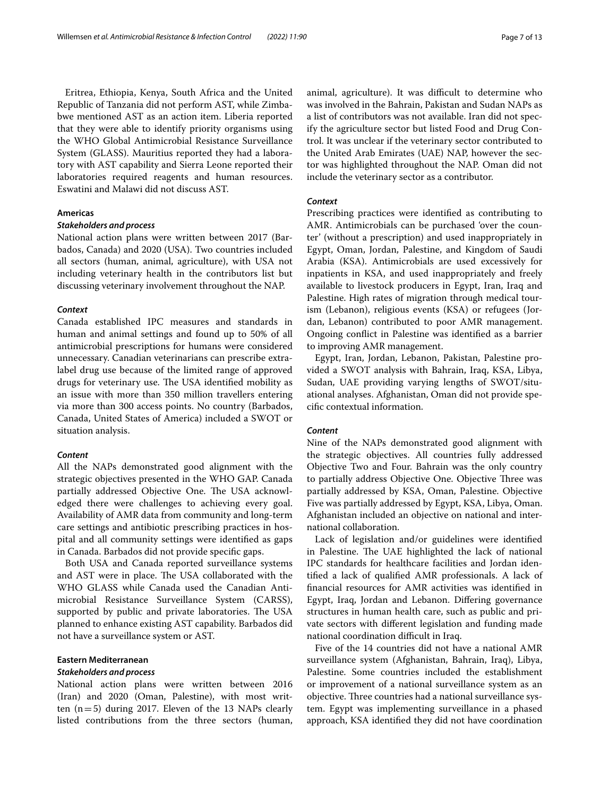Eritrea, Ethiopia, Kenya, South Africa and the United Republic of Tanzania did not perform AST, while Zimbabwe mentioned AST as an action item. Liberia reported that they were able to identify priority organisms using the WHO Global Antimicrobial Resistance Surveillance System (GLASS). Mauritius reported they had a laboratory with AST capability and Sierra Leone reported their laboratories required reagents and human resources. Eswatini and Malawi did not discuss AST.

# **Americas**

# *Stakeholders and process*

National action plans were written between 2017 (Barbados, Canada) and 2020 (USA). Two countries included all sectors (human, animal, agriculture), with USA not including veterinary health in the contributors list but discussing veterinary involvement throughout the NAP.

## *Context*

Canada established IPC measures and standards in human and animal settings and found up to 50% of all antimicrobial prescriptions for humans were considered unnecessary. Canadian veterinarians can prescribe extralabel drug use because of the limited range of approved drugs for veterinary use. The USA identified mobility as an issue with more than 350 million travellers entering via more than 300 access points. No country (Barbados, Canada, United States of America) included a SWOT or situation analysis.

# *Content*

All the NAPs demonstrated good alignment with the strategic objectives presented in the WHO GAP. Canada partially addressed Objective One. The USA acknowledged there were challenges to achieving every goal. Availability of AMR data from community and long-term care settings and antibiotic prescribing practices in hospital and all community settings were identifed as gaps in Canada. Barbados did not provide specifc gaps.

Both USA and Canada reported surveillance systems and AST were in place. The USA collaborated with the WHO GLASS while Canada used the Canadian Antimicrobial Resistance Surveillance System (CARSS), supported by public and private laboratories. The USA planned to enhance existing AST capability. Barbados did not have a surveillance system or AST.

# **Eastern Mediterranean**

# *Stakeholders and process*

National action plans were written between 2016 (Iran) and 2020 (Oman, Palestine), with most written  $(n=5)$  during 2017. Eleven of the 13 NAPs clearly listed contributions from the three sectors (human, animal, agriculture). It was difficult to determine who was involved in the Bahrain, Pakistan and Sudan NAPs as a list of contributors was not available. Iran did not specify the agriculture sector but listed Food and Drug Control. It was unclear if the veterinary sector contributed to the United Arab Emirates (UAE) NAP, however the sector was highlighted throughout the NAP. Oman did not include the veterinary sector as a contributor.

# *Context*

Prescribing practices were identifed as contributing to AMR. Antimicrobials can be purchased 'over the counter' (without a prescription) and used inappropriately in Egypt, Oman, Jordan, Palestine, and Kingdom of Saudi Arabia (KSA). Antimicrobials are used excessively for inpatients in KSA, and used inappropriately and freely available to livestock producers in Egypt, Iran, Iraq and Palestine. High rates of migration through medical tourism (Lebanon), religious events (KSA) or refugees (Jordan, Lebanon) contributed to poor AMR management. Ongoing confict in Palestine was identifed as a barrier to improving AMR management.

Egypt, Iran, Jordan, Lebanon, Pakistan, Palestine provided a SWOT analysis with Bahrain, Iraq, KSA, Libya, Sudan, UAE providing varying lengths of SWOT/situational analyses. Afghanistan, Oman did not provide specifc contextual information.

# *Content*

Nine of the NAPs demonstrated good alignment with the strategic objectives. All countries fully addressed Objective Two and Four. Bahrain was the only country to partially address Objective One. Objective Three was partially addressed by KSA, Oman, Palestine. Objective Five was partially addressed by Egypt, KSA, Libya, Oman. Afghanistan included an objective on national and international collaboration.

Lack of legislation and/or guidelines were identifed in Palestine. The UAE highlighted the lack of national IPC standards for healthcare facilities and Jordan identifed a lack of qualifed AMR professionals. A lack of fnancial resources for AMR activities was identifed in Egypt, Iraq, Jordan and Lebanon. Difering governance structures in human health care, such as public and private sectors with diferent legislation and funding made national coordination difficult in Iraq.

Five of the 14 countries did not have a national AMR surveillance system (Afghanistan, Bahrain, Iraq), Libya, Palestine. Some countries included the establishment or improvement of a national surveillance system as an objective. Three countries had a national surveillance system. Egypt was implementing surveillance in a phased approach, KSA identifed they did not have coordination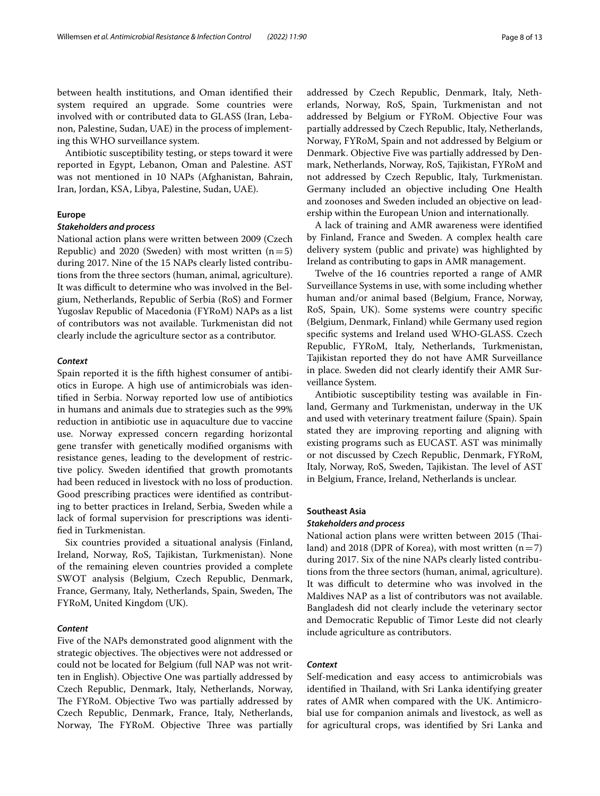between health institutions, and Oman identifed their system required an upgrade. Some countries were involved with or contributed data to GLASS (Iran, Lebanon, Palestine, Sudan, UAE) in the process of implementing this WHO surveillance system.

Antibiotic susceptibility testing, or steps toward it were reported in Egypt, Lebanon, Oman and Palestine. AST was not mentioned in 10 NAPs (Afghanistan, Bahrain, Iran, Jordan, KSA, Libya, Palestine, Sudan, UAE).

# **Europe**

## *Stakeholders and process*

National action plans were written between 2009 (Czech Republic) and 2020 (Sweden) with most written  $(n=5)$ during 2017. Nine of the 15 NAPs clearly listed contributions from the three sectors (human, animal, agriculture). It was difficult to determine who was involved in the Belgium, Netherlands, Republic of Serbia (RoS) and Former Yugoslav Republic of Macedonia (FYRoM) NAPs as a list of contributors was not available. Turkmenistan did not clearly include the agriculture sector as a contributor.

## *Context*

Spain reported it is the ffth highest consumer of antibiotics in Europe. A high use of antimicrobials was identifed in Serbia. Norway reported low use of antibiotics in humans and animals due to strategies such as the 99% reduction in antibiotic use in aquaculture due to vaccine use. Norway expressed concern regarding horizontal gene transfer with genetically modifed organisms with resistance genes, leading to the development of restrictive policy. Sweden identifed that growth promotants had been reduced in livestock with no loss of production. Good prescribing practices were identifed as contributing to better practices in Ireland, Serbia, Sweden while a lack of formal supervision for prescriptions was identifed in Turkmenistan.

Six countries provided a situational analysis (Finland, Ireland, Norway, RoS, Tajikistan, Turkmenistan). None of the remaining eleven countries provided a complete SWOT analysis (Belgium, Czech Republic, Denmark, France, Germany, Italy, Netherlands, Spain, Sweden, The FYRoM, United Kingdom (UK).

## *Content*

Five of the NAPs demonstrated good alignment with the strategic objectives. The objectives were not addressed or could not be located for Belgium (full NAP was not written in English). Objective One was partially addressed by Czech Republic, Denmark, Italy, Netherlands, Norway, The FYRoM. Objective Two was partially addressed by Czech Republic, Denmark, France, Italy, Netherlands, Norway, The FYRoM. Objective Three was partially addressed by Czech Republic, Denmark, Italy, Netherlands, Norway, RoS, Spain, Turkmenistan and not addressed by Belgium or FYRoM. Objective Four was partially addressed by Czech Republic, Italy, Netherlands, Norway, FYRoM, Spain and not addressed by Belgium or Denmark. Objective Five was partially addressed by Denmark, Netherlands, Norway, RoS, Tajikistan, FYRoM and not addressed by Czech Republic, Italy, Turkmenistan. Germany included an objective including One Health and zoonoses and Sweden included an objective on leadership within the European Union and internationally.

A lack of training and AMR awareness were identifed by Finland, France and Sweden. A complex health care delivery system (public and private) was highlighted by Ireland as contributing to gaps in AMR management.

Twelve of the 16 countries reported a range of AMR Surveillance Systems in use, with some including whether human and/or animal based (Belgium, France, Norway, RoS, Spain, UK). Some systems were country specifc (Belgium, Denmark, Finland) while Germany used region specifc systems and Ireland used WHO-GLASS. Czech Republic, FYRoM, Italy, Netherlands, Turkmenistan, Tajikistan reported they do not have AMR Surveillance in place. Sweden did not clearly identify their AMR Surveillance System.

Antibiotic susceptibility testing was available in Finland, Germany and Turkmenistan, underway in the UK and used with veterinary treatment failure (Spain). Spain stated they are improving reporting and aligning with existing programs such as EUCAST. AST was minimally or not discussed by Czech Republic, Denmark, FYRoM, Italy, Norway, RoS, Sweden, Tajikistan. The level of AST in Belgium, France, Ireland, Netherlands is unclear.

## **Southeast Asia**

## *Stakeholders and process*

National action plans were written between 2015 (Tailand) and 2018 (DPR of Korea), with most written  $(n=7)$ during 2017. Six of the nine NAPs clearly listed contributions from the three sectors (human, animal, agriculture). It was difficult to determine who was involved in the Maldives NAP as a list of contributors was not available. Bangladesh did not clearly include the veterinary sector and Democratic Republic of Timor Leste did not clearly include agriculture as contributors.

# *Context*

Self-medication and easy access to antimicrobials was identified in Thailand, with Sri Lanka identifying greater rates of AMR when compared with the UK. Antimicrobial use for companion animals and livestock, as well as for agricultural crops, was identifed by Sri Lanka and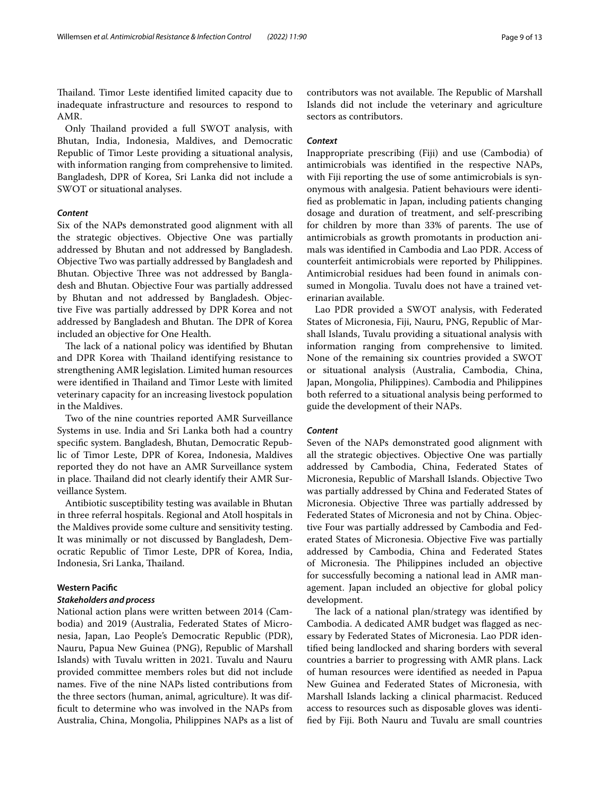Thailand. Timor Leste identified limited capacity due to inadequate infrastructure and resources to respond to AMR.

Only Thailand provided a full SWOT analysis, with Bhutan, India, Indonesia, Maldives, and Democratic Republic of Timor Leste providing a situational analysis, with information ranging from comprehensive to limited. Bangladesh, DPR of Korea, Sri Lanka did not include a SWOT or situational analyses.

## *Content*

Six of the NAPs demonstrated good alignment with all the strategic objectives. Objective One was partially addressed by Bhutan and not addressed by Bangladesh. Objective Two was partially addressed by Bangladesh and Bhutan. Objective Three was not addressed by Bangladesh and Bhutan. Objective Four was partially addressed by Bhutan and not addressed by Bangladesh. Objective Five was partially addressed by DPR Korea and not addressed by Bangladesh and Bhutan. The DPR of Korea included an objective for One Health.

The lack of a national policy was identified by Bhutan and DPR Korea with Thailand identifying resistance to strengthening AMR legislation. Limited human resources were identified in Thailand and Timor Leste with limited veterinary capacity for an increasing livestock population in the Maldives.

Two of the nine countries reported AMR Surveillance Systems in use. India and Sri Lanka both had a country specifc system. Bangladesh, Bhutan, Democratic Republic of Timor Leste, DPR of Korea, Indonesia, Maldives reported they do not have an AMR Surveillance system in place. Thailand did not clearly identify their AMR Surveillance System.

Antibiotic susceptibility testing was available in Bhutan in three referral hospitals. Regional and Atoll hospitals in the Maldives provide some culture and sensitivity testing. It was minimally or not discussed by Bangladesh, Democratic Republic of Timor Leste, DPR of Korea, India, Indonesia, Sri Lanka, Thailand.

# **Western Pacifc**

## *Stakeholders and process*

National action plans were written between 2014 (Cambodia) and 2019 (Australia, Federated States of Micronesia, Japan, Lao People's Democratic Republic (PDR), Nauru, Papua New Guinea (PNG), Republic of Marshall Islands) with Tuvalu written in 2021. Tuvalu and Nauru provided committee members roles but did not include names. Five of the nine NAPs listed contributions from the three sectors (human, animal, agriculture). It was diffcult to determine who was involved in the NAPs from Australia, China, Mongolia, Philippines NAPs as a list of contributors was not available. The Republic of Marshall Islands did not include the veterinary and agriculture sectors as contributors.

## *Context*

Inappropriate prescribing (Fiji) and use (Cambodia) of antimicrobials was identifed in the respective NAPs, with Fiji reporting the use of some antimicrobials is synonymous with analgesia. Patient behaviours were identifed as problematic in Japan, including patients changing dosage and duration of treatment, and self-prescribing for children by more than 33% of parents. The use of antimicrobials as growth promotants in production animals was identifed in Cambodia and Lao PDR. Access of counterfeit antimicrobials were reported by Philippines. Antimicrobial residues had been found in animals consumed in Mongolia. Tuvalu does not have a trained veterinarian available.

Lao PDR provided a SWOT analysis, with Federated States of Micronesia, Fiji, Nauru, PNG, Republic of Marshall Islands, Tuvalu providing a situational analysis with information ranging from comprehensive to limited. None of the remaining six countries provided a SWOT or situational analysis (Australia, Cambodia, China, Japan, Mongolia, Philippines). Cambodia and Philippines both referred to a situational analysis being performed to guide the development of their NAPs.

## *Content*

Seven of the NAPs demonstrated good alignment with all the strategic objectives. Objective One was partially addressed by Cambodia, China, Federated States of Micronesia, Republic of Marshall Islands. Objective Two was partially addressed by China and Federated States of Micronesia. Objective Three was partially addressed by Federated States of Micronesia and not by China. Objective Four was partially addressed by Cambodia and Federated States of Micronesia. Objective Five was partially addressed by Cambodia, China and Federated States of Micronesia. The Philippines included an objective for successfully becoming a national lead in AMR management. Japan included an objective for global policy development.

The lack of a national plan/strategy was identified by Cambodia. A dedicated AMR budget was fagged as necessary by Federated States of Micronesia. Lao PDR identifed being landlocked and sharing borders with several countries a barrier to progressing with AMR plans. Lack of human resources were identifed as needed in Papua New Guinea and Federated States of Micronesia, with Marshall Islands lacking a clinical pharmacist. Reduced access to resources such as disposable gloves was identifed by Fiji. Both Nauru and Tuvalu are small countries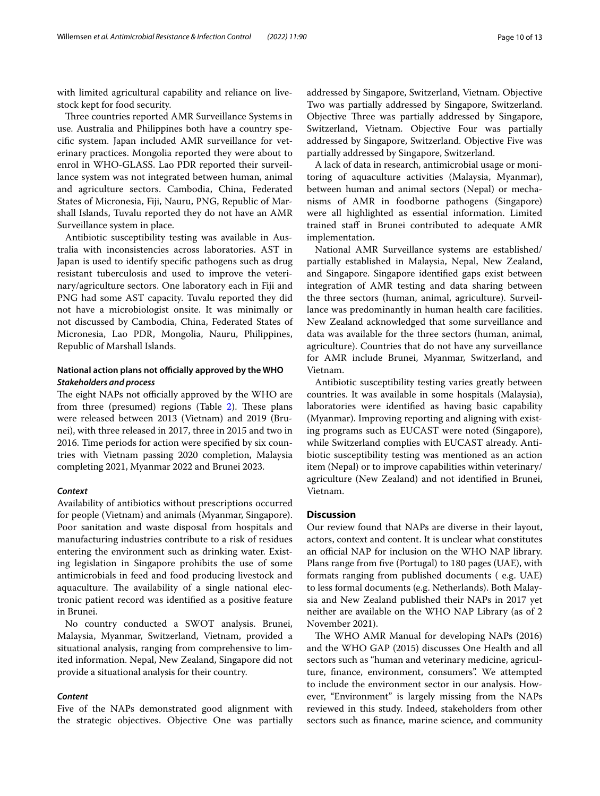with limited agricultural capability and reliance on livestock kept for food security.

Three countries reported AMR Surveillance Systems in use. Australia and Philippines both have a country specifc system. Japan included AMR surveillance for veterinary practices. Mongolia reported they were about to enrol in WHO-GLASS. Lao PDR reported their surveillance system was not integrated between human, animal and agriculture sectors. Cambodia, China, Federated States of Micronesia, Fiji, Nauru, PNG, Republic of Marshall Islands, Tuvalu reported they do not have an AMR Surveillance system in place.

Antibiotic susceptibility testing was available in Australia with inconsistencies across laboratories. AST in Japan is used to identify specifc pathogens such as drug resistant tuberculosis and used to improve the veterinary/agriculture sectors. One laboratory each in Fiji and PNG had some AST capacity. Tuvalu reported they did not have a microbiologist onsite. It was minimally or not discussed by Cambodia, China, Federated States of Micronesia, Lao PDR, Mongolia, Nauru, Philippines, Republic of Marshall Islands.

# **National action plans not officially approved by the WHO** *Stakeholders and process*

The eight NAPs not officially approved by the WHO are from three (presumed) regions (Table [2](#page-4-0)). These plans were released between 2013 (Vietnam) and 2019 (Brunei), with three released in 2017, three in 2015 and two in 2016. Time periods for action were specifed by six countries with Vietnam passing 2020 completion, Malaysia completing 2021, Myanmar 2022 and Brunei 2023.

# *Context*

Availability of antibiotics without prescriptions occurred for people (Vietnam) and animals (Myanmar, Singapore). Poor sanitation and waste disposal from hospitals and manufacturing industries contribute to a risk of residues entering the environment such as drinking water. Existing legislation in Singapore prohibits the use of some antimicrobials in feed and food producing livestock and aquaculture. The availability of a single national electronic patient record was identifed as a positive feature in Brunei.

No country conducted a SWOT analysis. Brunei, Malaysia, Myanmar, Switzerland, Vietnam, provided a situational analysis, ranging from comprehensive to limited information. Nepal, New Zealand, Singapore did not provide a situational analysis for their country.

## *Content*

Five of the NAPs demonstrated good alignment with the strategic objectives. Objective One was partially addressed by Singapore, Switzerland, Vietnam. Objective Two was partially addressed by Singapore, Switzerland. Objective Three was partially addressed by Singapore, Switzerland, Vietnam. Objective Four was partially addressed by Singapore, Switzerland. Objective Five was partially addressed by Singapore, Switzerland.

A lack of data in research, antimicrobial usage or monitoring of aquaculture activities (Malaysia, Myanmar), between human and animal sectors (Nepal) or mechanisms of AMR in foodborne pathogens (Singapore) were all highlighted as essential information. Limited trained staf in Brunei contributed to adequate AMR implementation.

National AMR Surveillance systems are established/ partially established in Malaysia, Nepal, New Zealand, and Singapore. Singapore identifed gaps exist between integration of AMR testing and data sharing between the three sectors (human, animal, agriculture). Surveillance was predominantly in human health care facilities. New Zealand acknowledged that some surveillance and data was available for the three sectors (human, animal, agriculture). Countries that do not have any surveillance for AMR include Brunei, Myanmar, Switzerland, and Vietnam.

Antibiotic susceptibility testing varies greatly between countries. It was available in some hospitals (Malaysia), laboratories were identifed as having basic capability (Myanmar). Improving reporting and aligning with existing programs such as EUCAST were noted (Singapore), while Switzerland complies with EUCAST already. Antibiotic susceptibility testing was mentioned as an action item (Nepal) or to improve capabilities within veterinary/ agriculture (New Zealand) and not identifed in Brunei, Vietnam.

# **Discussion**

Our review found that NAPs are diverse in their layout, actors, context and content. It is unclear what constitutes an official NAP for inclusion on the WHO NAP library. Plans range from fve (Portugal) to 180 pages (UAE), with formats ranging from published documents ( e.g. UAE) to less formal documents (e.g. Netherlands). Both Malaysia and New Zealand published their NAPs in 2017 yet neither are available on the WHO NAP Library (as of 2 November 2021).

The WHO AMR Manual for developing NAPs (2016) and the WHO GAP (2015) discusses One Health and all sectors such as "human and veterinary medicine, agriculture, fnance, environment, consumers". We attempted to include the environment sector in our analysis. However, "Environment" is largely missing from the NAPs reviewed in this study. Indeed, stakeholders from other sectors such as fnance, marine science, and community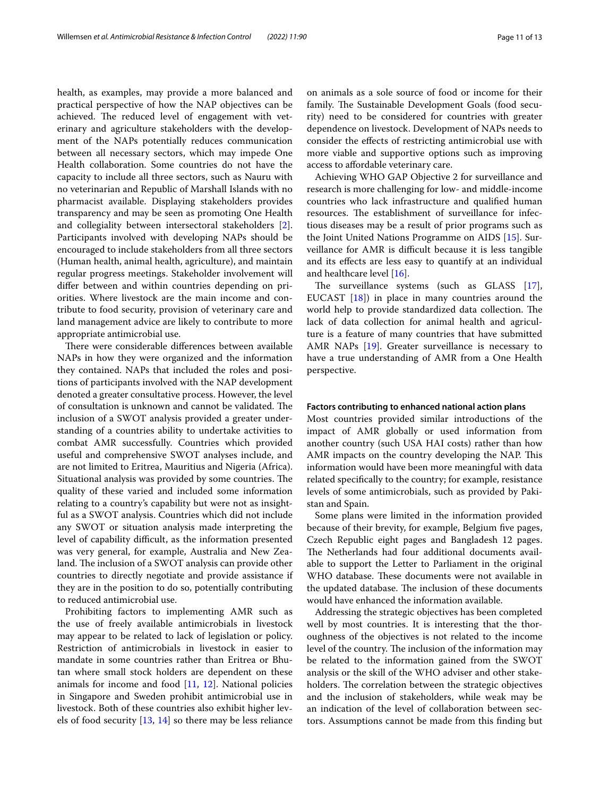health, as examples, may provide a more balanced and practical perspective of how the NAP objectives can be achieved. The reduced level of engagement with veterinary and agriculture stakeholders with the development of the NAPs potentially reduces communication between all necessary sectors, which may impede One Health collaboration. Some countries do not have the capacity to include all three sectors, such as Nauru with no veterinarian and Republic of Marshall Islands with no pharmacist available. Displaying stakeholders provides transparency and may be seen as promoting One Health and collegiality between intersectoral stakeholders [\[2](#page-12-1)]. Participants involved with developing NAPs should be encouraged to include stakeholders from all three sectors (Human health, animal health, agriculture), and maintain regular progress meetings. Stakeholder involvement will difer between and within countries depending on priorities. Where livestock are the main income and contribute to food security, provision of veterinary care and land management advice are likely to contribute to more appropriate antimicrobial use.

There were considerable differences between available NAPs in how they were organized and the information they contained. NAPs that included the roles and positions of participants involved with the NAP development denoted a greater consultative process. However, the level of consultation is unknown and cannot be validated. The inclusion of a SWOT analysis provided a greater understanding of a countries ability to undertake activities to combat AMR successfully. Countries which provided useful and comprehensive SWOT analyses include, and are not limited to Eritrea, Mauritius and Nigeria (Africa). Situational analysis was provided by some countries. The quality of these varied and included some information relating to a country's capability but were not as insightful as a SWOT analysis. Countries which did not include any SWOT or situation analysis made interpreting the level of capability difficult, as the information presented was very general, for example, Australia and New Zealand. The inclusion of a SWOT analysis can provide other countries to directly negotiate and provide assistance if they are in the position to do so, potentially contributing to reduced antimicrobial use.

Prohibiting factors to implementing AMR such as the use of freely available antimicrobials in livestock may appear to be related to lack of legislation or policy. Restriction of antimicrobials in livestock in easier to mandate in some countries rather than Eritrea or Bhutan where small stock holders are dependent on these animals for income and food [[11,](#page-12-10) [12](#page-12-11)]. National policies in Singapore and Sweden prohibit antimicrobial use in livestock. Both of these countries also exhibit higher levels of food security [[13](#page-12-12), [14](#page-12-13)] so there may be less reliance on animals as a sole source of food or income for their family. The Sustainable Development Goals (food security) need to be considered for countries with greater dependence on livestock. Development of NAPs needs to consider the efects of restricting antimicrobial use with more viable and supportive options such as improving access to afordable veterinary care.

Achieving WHO GAP Objective 2 for surveillance and research is more challenging for low- and middle-income countries who lack infrastructure and qualifed human resources. The establishment of surveillance for infectious diseases may be a result of prior programs such as the Joint United Nations Programme on AIDS [\[15\]](#page-12-14). Surveillance for AMR is difficult because it is less tangible and its efects are less easy to quantify at an individual and healthcare level [\[16](#page-12-15)].

The surveillance systems (such as GLASS [\[17](#page-12-16)], EUCAST [[18\]](#page-12-17)) in place in many countries around the world help to provide standardized data collection. The lack of data collection for animal health and agriculture is a feature of many countries that have submitted AMR NAPs [\[19\]](#page-12-18). Greater surveillance is necessary to have a true understanding of AMR from a One Health perspective.

## **Factors contributing to enhanced national action plans**

Most countries provided similar introductions of the impact of AMR globally or used information from another country (such USA HAI costs) rather than how AMR impacts on the country developing the NAP. This information would have been more meaningful with data related specifcally to the country; for example, resistance levels of some antimicrobials, such as provided by Pakistan and Spain.

Some plans were limited in the information provided because of their brevity, for example, Belgium fve pages, Czech Republic eight pages and Bangladesh 12 pages. The Netherlands had four additional documents available to support the Letter to Parliament in the original WHO database. These documents were not available in the updated database. The inclusion of these documents would have enhanced the information available.

Addressing the strategic objectives has been completed well by most countries. It is interesting that the thoroughness of the objectives is not related to the income level of the country. The inclusion of the information may be related to the information gained from the SWOT analysis or the skill of the WHO adviser and other stakeholders. The correlation between the strategic objectives and the inclusion of stakeholders, while weak may be an indication of the level of collaboration between sectors. Assumptions cannot be made from this fnding but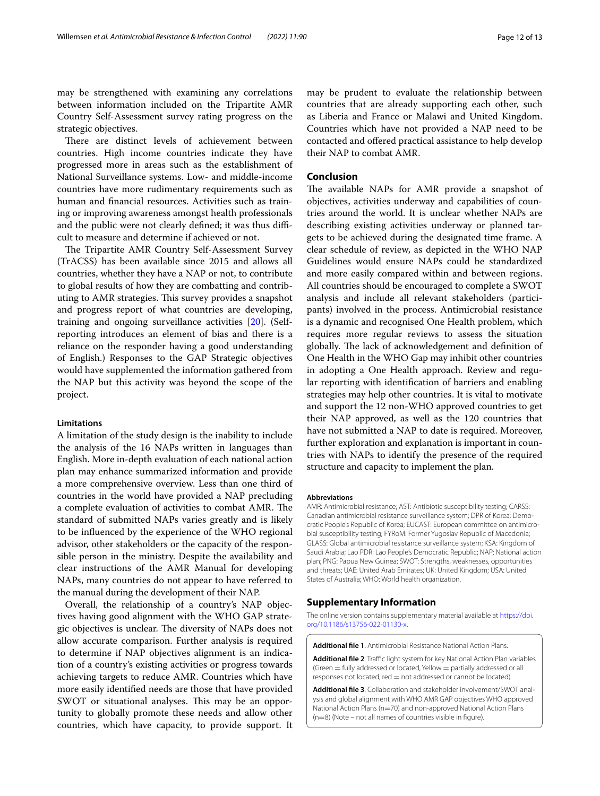may be strengthened with examining any correlations between information included on the Tripartite AMR Country Self-Assessment survey rating progress on the strategic objectives.

There are distinct levels of achievement between countries. High income countries indicate they have progressed more in areas such as the establishment of National Surveillance systems. Low- and middle-income countries have more rudimentary requirements such as human and fnancial resources. Activities such as training or improving awareness amongst health professionals and the public were not clearly defined; it was thus difficult to measure and determine if achieved or not.

The Tripartite AMR Country Self-Assessment Survey (TrACSS) has been available since 2015 and allows all countries, whether they have a NAP or not, to contribute to global results of how they are combatting and contributing to AMR strategies. This survey provides a snapshot and progress report of what countries are developing, training and ongoing surveillance activities [[20\]](#page-12-19). (Selfreporting introduces an element of bias and there is a reliance on the responder having a good understanding of English.) Responses to the GAP Strategic objectives would have supplemented the information gathered from the NAP but this activity was beyond the scope of the project.

## **Limitations**

A limitation of the study design is the inability to include the analysis of the 16 NAPs written in languages than English. More in-depth evaluation of each national action plan may enhance summarized information and provide a more comprehensive overview. Less than one third of countries in the world have provided a NAP precluding a complete evaluation of activities to combat AMR. The standard of submitted NAPs varies greatly and is likely to be infuenced by the experience of the WHO regional advisor, other stakeholders or the capacity of the responsible person in the ministry. Despite the availability and clear instructions of the AMR Manual for developing NAPs, many countries do not appear to have referred to the manual during the development of their NAP.

Overall, the relationship of a country's NAP objectives having good alignment with the WHO GAP strategic objectives is unclear. The diversity of NAPs does not allow accurate comparison. Further analysis is required to determine if NAP objectives alignment is an indication of a country's existing activities or progress towards achieving targets to reduce AMR. Countries which have more easily identifed needs are those that have provided SWOT or situational analyses. This may be an opportunity to globally promote these needs and allow other countries, which have capacity, to provide support. It

may be prudent to evaluate the relationship between countries that are already supporting each other, such as Liberia and France or Malawi and United Kingdom. Countries which have not provided a NAP need to be contacted and ofered practical assistance to help develop their NAP to combat AMR.

## **Conclusion**

The available NAPs for AMR provide a snapshot of objectives, activities underway and capabilities of countries around the world. It is unclear whether NAPs are describing existing activities underway or planned targets to be achieved during the designated time frame. A clear schedule of review, as depicted in the WHO NAP Guidelines would ensure NAPs could be standardized and more easily compared within and between regions. All countries should be encouraged to complete a SWOT analysis and include all relevant stakeholders (participants) involved in the process. Antimicrobial resistance is a dynamic and recognised One Health problem, which requires more regular reviews to assess the situation globally. The lack of acknowledgement and definition of One Health in the WHO Gap may inhibit other countries in adopting a One Health approach. Review and regular reporting with identifcation of barriers and enabling strategies may help other countries. It is vital to motivate and support the 12 non-WHO approved countries to get their NAP approved, as well as the 120 countries that have not submitted a NAP to date is required. Moreover, further exploration and explanation is important in countries with NAPs to identify the presence of the required structure and capacity to implement the plan.

#### **Abbreviations**

AMR: Antimicrobial resistance; AST: Antibiotic susceptibility testing; CARSS: Canadian antimicrobial resistance surveillance system; DPR of Korea: Democratic People's Republic of Korea; EUCAST: European committee on antimicrobial susceptibility testing; FYRoM: Former Yugoslav Republic of Macedonia; GLASS: Global antimicrobial resistance surveillance system; KSA: Kingdom of Saudi Arabia; Lao PDR: Lao People's Democratic Republic; NAP: National action plan; PNG: Papua New Guinea; SWOT: Strengths, weaknesses, opportunities and threats; UAE: United Arab Emirates; UK: United Kingdom; USA: United States of Australia; WHO: World health organization.

# **Supplementary Information**

The online version contains supplementary material available at [https://doi.](https://doi.org/10.1186/s13756-022-01130-x) [org/10.1186/s13756-022-01130-x.](https://doi.org/10.1186/s13756-022-01130-x)

<span id="page-11-1"></span><span id="page-11-0"></span>**Additional fle 1**. Antimicrobial Resistance National Action Plans.

Additional file 2. Traffic light system for key National Action Plan variables (Green = fully addressed or located, Yellow = partially addressed or all responses not located, red = not addressed or cannot be located).

<span id="page-11-2"></span>**Additional fle 3**. Collaboration and stakeholder involvement/SWOT analysis and global alignment with WHO AMR GAP objectives WHO approved National Action Plans (n=70) and non-approved National Action Plans  $(n=8)$  (Note – not all names of countries visible in figure).